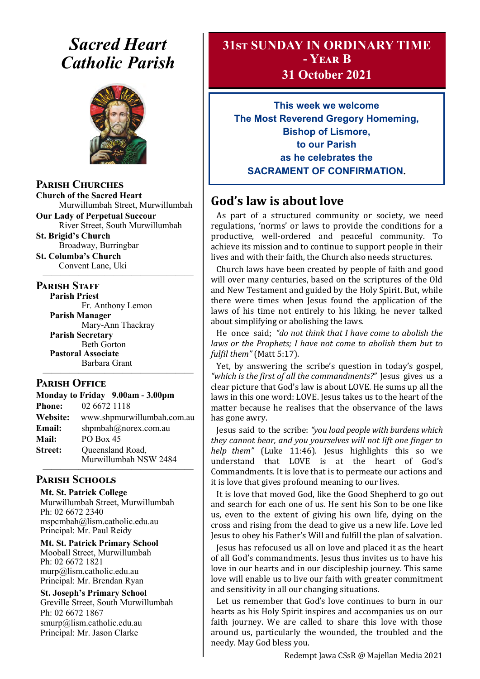# *Sacred Heart Catholic Parish*



#### **Parish Churches**

**Church of the Sacred Heart** Murwillumbah Street, Murwillumbah

**Our Lady of Perpetual Succour** River Street, South Murwillumbah **St. Brigid's Church**

Broadway, Burringbar **St. Columba's Church**

Convent Lane, Uki —————————————————

#### **PARISH STAFF**

**Parish Priest**

Fr. Anthony Lemon **Parish Manager** Mary-Ann Thackray **Parish Secretary** Beth Gorton **Pastoral Associate** Barbara Grant

#### **Parish Office**

**Monday to Friday 9.00am - 3.00pm Phone:** 02 6672 1118 **Website:** www.shpmurwillumbah.com.au **Email:** shpmbah@norex.com.au **Mail:** PO Box 45 **Street:** Oueensland Road, Murwillumbah NSW 2484 —————————————————

—————————————————

#### **Parish Schools**

**Mt. St. Patrick College** Murwillumbah Street, Murwillumbah Ph: 02 6672 2340 mspcmbah@lism.catholic.edu.au Principal: Mr. Paul Reidy

**Mt. St. Patrick Primary School** Mooball Street, Murwillumbah Ph: 02 6672 1821 murp@lism.catholic.edu.au Principal: Mr. Brendan Ryan

**St. Joseph's Primary School** Greville Street, South Murwillumbah Ph: 02 6672 1867 smurp@lism.catholic.edu.au Principal: Mr. Jason Clarke

## **31st SUNDAY IN ORDINARY TIME - Year B**

**31 October 2021**

**This week we welcome The Most Reverend Gregory Homeming, Bishop of Lismore, to our Parish as he celebrates the SACRAMENT OF CONFIRMATION.**

## **God's law is about love**

As part of a structured community or society, we need regulations, 'norms' or laws to provide the conditions for a productive, well-ordered and peaceful community. To achieve its mission and to continue to support people in their lives and with their faith, the Church also needs structures.

Church laws have been created by people of faith and good will over many centuries, based on the scriptures of the Old and New Testament and guided by the Holy Spirit. But, while there were times when Jesus found the application of the laws of his time not entirely to his liking, he never talked about simplifying or abolishing the laws.

He once said; *"do not think that I have come to abolish the laws or the Prophets; I have not come to abolish them but to fulfil them"* (Matt 5:17).

Yet, by answering the scribe's question in today's gospel, *"which is the first of all the commandments?"* Jesus gives us a clear picture that God's law is about LOVE. He sums up all the laws in this one word: LOVE. Jesus takes us to the heart of the matter because he realises that the observance of the laws has gone awry.

Jesus said to the scribe: *"you load people with burdens which they cannot bear, and you yourselves will not lift one finger to help them"* (Luke 11:46). Jesus highlights this so we understand that LOVE is at the heart of God's Commandments. It is love that is to permeate our actions and it is love that gives profound meaning to our lives.

It is love that moved God, like the Good Shepherd to go out and search for each one of us. He sent his Son to be one like us, even to the extent of giving his own life, dying on the cross and rising from the dead to give us a new life. Love led Jesus to obey his Father's Will and fulfill the plan of salvation.

Jesus has refocused us all on love and placed it as the heart of all God's commandments. Jesus thus invites us to have his love in our hearts and in our discipleship journey. This same love will enable us to live our faith with greater commitment and sensitivity in all our changing situations.

Let us remember that God's love continues to burn in our hearts as his Holy Spirit inspires and accompanies us on our faith journey. We are called to share this love with those around us, particularly the wounded, the troubled and the needy. May God bless you.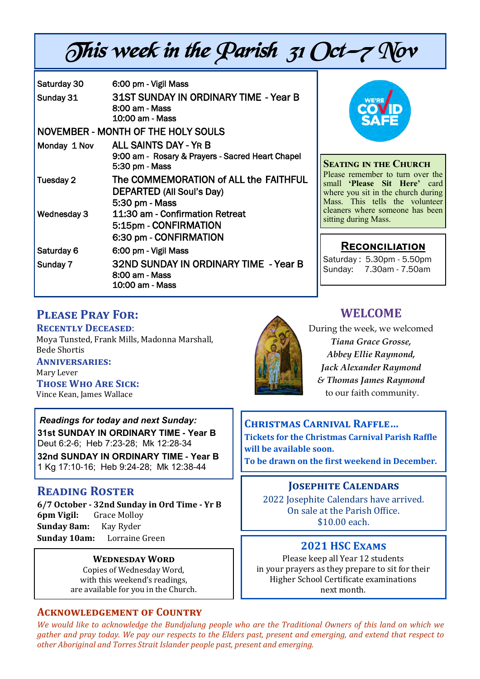# This week in the Parish  $31$  Oct-7 Nov

| Saturday 30                        | 6:00 pm - Vigil Mass                                                                               |
|------------------------------------|----------------------------------------------------------------------------------------------------|
| Sunday 31                          | 31ST SUNDAY IN ORDINARY TIME - Year B<br>8:00 am - Mass<br>10:00 am - Mass                         |
| NOVEMBER - MONTH OF THE HOLY SOULS |                                                                                                    |
| Monday 1 Nov                       | <b>ALL SAINTS DAY - YR B</b><br>9:00 am - Rosary & Prayers - Sacred Heart Chapel<br>5:30 pm - Mass |
| Tuesday 2                          | The COMMEMORATION of ALL the FAITHFUL<br>DEPARTED (All Soul's Day)<br>5:30 pm - Mass               |
| <b>Wednesday 3</b>                 | 11:30 am - Confirmation Retreat<br>5:15pm - CONFIRMATION<br>6:30 pm - CONFIRMATION                 |
| Saturday 6                         | 6:00 pm - Vigil Mass                                                                               |
| Sunday 7                           | 32ND SUNDAY IN ORDINARY TIME - Year B<br>8:00 am - Mass<br>10:00 am - Mass                         |



#### **Seating in the Church**

Please remember to turn over the small **'Please Sit Here'** card where you sit in the church during Mass. This tells the volunteer cleaners where someone has been sitting during Mass.

## **Reconciliation**

Saturday : 5.30pm - 5.50pm Sunday: 7.30am - 7.50am

## **Please Pray For:**

## **Recently Deceased**:

Moya Tunsted, Frank Mills, Madonna Marshall, Bede Shortis

**Anniversaries:**  Mary Lever **Those Who Are Sick:**  Vince Kean, James Wallace

*Readings for today and next Sunday:*  **31st SUNDAY IN ORDINARY TIME - Year B**  Deut 6:2-6; Heb 7:23-28; Mk 12:28-34

**32nd SUNDAY IN ORDINARY TIME - Year B**  1 Kg 17:10-16; Heb 9:24-28; Mk 12:38-44

## **Reading Roster**

**6/7 October - 32nd Sunday in Ord Time - Yr B 6pm Vigil:** Grace Molloy **Sunday 8am:** Kay Ryder **Sunday 10am:** Lorraine Green

#### **Wednesday Word**

Copies of Wednesday Word, with this weekend's readings, are available for you in the Church.

#### **Acknowledgement of Country**





## **WELCOME**

During the week, we welcomed *Tiana Grace Grosse, Abbey Ellie Raymond, Jack Alexander Raymond & Thomas James Raymond* to our faith community.

**Christmas Carnival Raffle… Tickets for the Christmas Carnival Parish Raffle will be available soon.** 

**To be drawn on the first weekend in December.**

#### **Josephite Calendars**

2022 Josephite Calendars have arrived. On sale at the Parish Office. \$10.00 each.

#### **2021 HSC Exams**

Please keep all Year 12 students in your prayers as they prepare to sit for their Higher School Certificate examinations next month.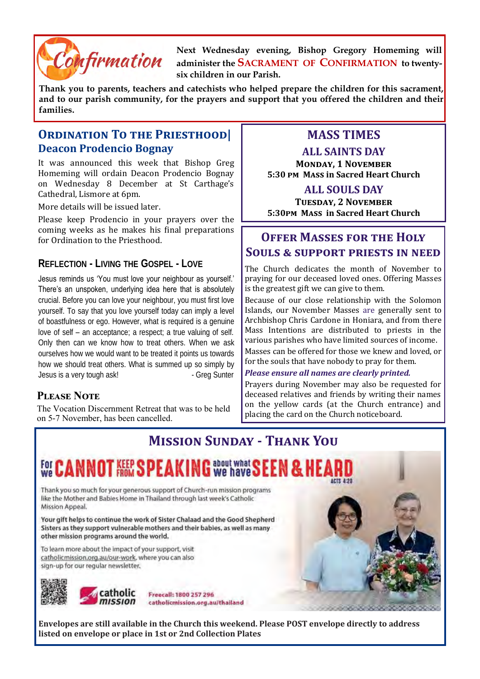

**Next Wednesday evening, Bishop Gregory Homeming will administer the SACRAMENT OF CONFIRMATION to twentysix children in our Parish.**

**Thank you to parents, teachers and catechists who helped prepare the children for this sacrament, and to our parish community, for the prayers and support that you offered the children and their families.**

### **Ordination To the Priesthood| Deacon Prodencio Bognay**

It was announced this week that Bishop Greg Homeming will ordain Deacon Prodencio Bognay on Wednesday 8 December at St Carthage's Cathedral, Lismore at 6pm.

More details will be issued later.

Please keep Prodencio in your prayers over the coming weeks as he makes his final preparations for Ordination to the Priesthood.

#### **REFLECTION - LIVING THE GOSPEL - LOVE**

Jesus reminds us 'You must love your neighbour as yourself.' There's an unspoken, underlying idea here that is absolutely crucial. Before you can love your neighbour, you must first love yourself. To say that you love yourself today can imply a level of boastfulness or ego. However, what is required is a genuine love of self – an acceptance; a respect; a true valuing of self. Only then can we know how to treat others. When we ask ourselves how we would want to be treated it points us towards how we should treat others. What is summed up so simply by Jesus is a very tough ask! - Greg Sunter

#### **Please Note**

The Vocation Discernment Retreat that was to be held on 5-7 November, has been cancelled.

## **MASS TIMES**

**ALL SAINTS DAY** 

**Monday, 1 November 5:30 pm Mass in Sacred Heart Church**

#### **ALL SOULS DAY**

**Tuesday, 2 November 5:30pm Mass in Sacred Heart Church**

## **Offer Masses for the Holy Souls & support priests in need**

The Church dedicates the month of November to praying for our deceased loved ones. Offering Masses is the greatest gift we can give to them.

Because of our close relationship with the Solomon Islands, our November Masses are generally sent to Archbishop Chris Cardone in Honiara, and from there Mass Intentions are distributed to priests in the various parishes who have limited sources of income.

Masses can be offered for those we knew and loved, or for the souls that have nobody to pray for them.

#### *Please ensure all names are clearly printed.*

Prayers during November may also be requested for deceased relatives and friends by writing their names on the yellow cards (at the Church entrance) and placing the card on the Church noticeboard.



**Envelopes are still available in the Church this weekend. Please POST envelope directly to address listed on envelope or place in 1st or 2nd Collection Plates**